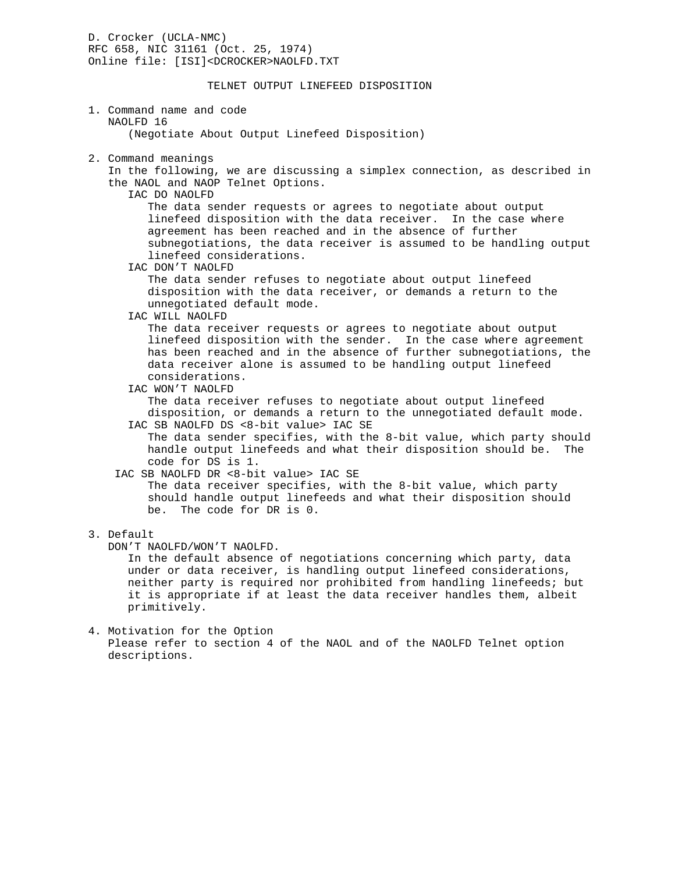D. Crocker (UCLA-NMC) RFC 658, NIC 31161 (Oct. 25, 1974) Online file: [ISI]<DCROCKER>NAOLFD.TXT

## TELNET OUTPUT LINEFEED DISPOSITION

## 1. Command name and code NAOLFD 16 (Negotiate About Output Linefeed Disposition)

2. Command meanings

 In the following, we are discussing a simplex connection, as described in the NAOL and NAOP Telnet Options.

IAC DO NAOLFD

 The data sender requests or agrees to negotiate about output linefeed disposition with the data receiver. In the case where agreement has been reached and in the absence of further subnegotiations, the data receiver is assumed to be handling output linefeed considerations.

IAC DON'T NAOLFD

 The data sender refuses to negotiate about output linefeed disposition with the data receiver, or demands a return to the unnegotiated default mode.

IAC WILL NAOLFD

 The data receiver requests or agrees to negotiate about output linefeed disposition with the sender. In the case where agreement has been reached and in the absence of further subnegotiations, the data receiver alone is assumed to be handling output linefeed considerations.

IAC WON'T NAOLFD

 The data receiver refuses to negotiate about output linefeed disposition, or demands a return to the unnegotiated default mode. IAC SB NAOLFD DS <8-bit value> IAC SE

 The data sender specifies, with the 8-bit value, which party should handle output linefeeds and what their disposition should be. The code for DS is 1.

IAC SB NAOLFD DR <8-bit value> IAC SE

 The data receiver specifies, with the 8-bit value, which party should handle output linefeeds and what their disposition should be. The code for DR is 0.

- 3. Default
	- DON'T NAOLFD/WON'T NAOLFD.

 In the default absence of negotiations concerning which party, data under or data receiver, is handling output linefeed considerations, neither party is required nor prohibited from handling linefeeds; but it is appropriate if at least the data receiver handles them, albeit primitively.

4. Motivation for the Option Please refer to section 4 of the NAOL and of the NAOLFD Telnet option descriptions.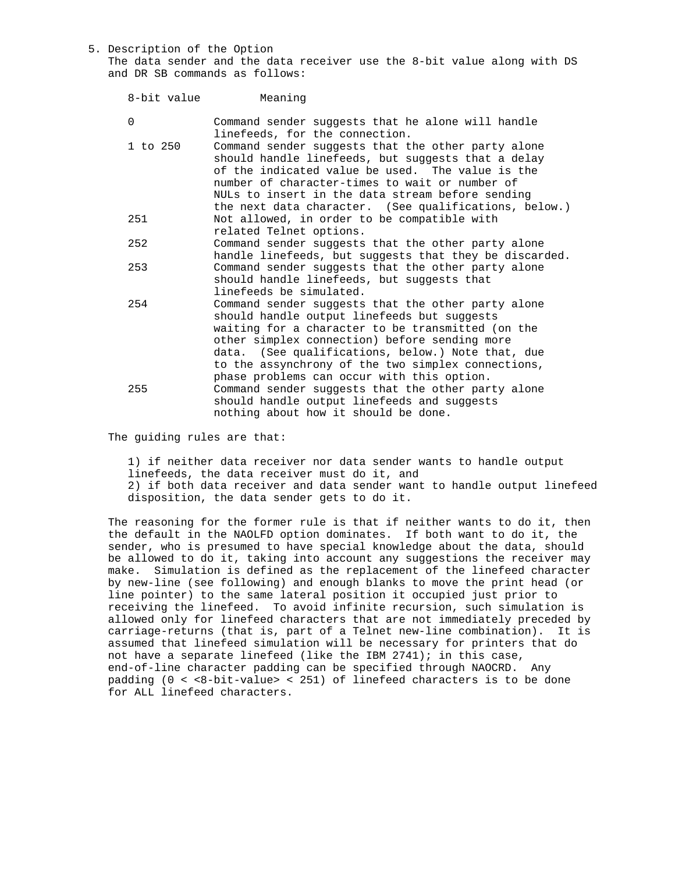5. Description of the Option The data sender and the data receiver use the 8-bit value along with DS and DR SB commands as follows:

| 8-bit value | Meaning                                                                                                                                                                                                                                                                                                                                                          |
|-------------|------------------------------------------------------------------------------------------------------------------------------------------------------------------------------------------------------------------------------------------------------------------------------------------------------------------------------------------------------------------|
| 0           | Command sender suggests that he alone will handle<br>linefeeds, for the connection.                                                                                                                                                                                                                                                                              |
| 1 to 250    | Command sender suggests that the other party alone<br>should handle linefeeds, but suggests that a delay<br>of the indicated value be used. The value is the<br>number of character-times to wait or number of<br>NULs to insert in the data stream before sending<br>the next data character. (See qualifications, below.)                                      |
| 251         | Not allowed, in order to be compatible with<br>related Telnet options.                                                                                                                                                                                                                                                                                           |
| 252         | Command sender suggests that the other party alone<br>handle linefeeds, but suggests that they be discarded.                                                                                                                                                                                                                                                     |
| 253         | Command sender suggests that the other party alone<br>should handle linefeeds, but suggests that<br>linefeeds be simulated.                                                                                                                                                                                                                                      |
| 254         | Command sender suggests that the other party alone<br>should handle output linefeeds but suggests<br>waiting for a character to be transmitted (on the<br>other simplex connection) before sending more<br>data. (See qualifications, below.) Note that, due<br>to the assynchrony of the two simplex connections,<br>phase problems can occur with this option. |
| 255         | Command sender suggests that the other party alone<br>should handle output linefeeds and suggests<br>nothing about how it should be done.                                                                                                                                                                                                                        |

The guiding rules are that:

 1) if neither data receiver nor data sender wants to handle output linefeeds, the data receiver must do it, and 2) if both data receiver and data sender want to handle output linefeed disposition, the data sender gets to do it.

 The reasoning for the former rule is that if neither wants to do it, then the default in the NAOLFD option dominates. If both want to do it, the sender, who is presumed to have special knowledge about the data, should be allowed to do it, taking into account any suggestions the receiver may make. Simulation is defined as the replacement of the linefeed character by new-line (see following) and enough blanks to move the print head (or line pointer) to the same lateral position it occupied just prior to receiving the linefeed. To avoid infinite recursion, such simulation is allowed only for linefeed characters that are not immediately preceded by carriage-returns (that is, part of a Telnet new-line combination). It is assumed that linefeed simulation will be necessary for printers that do not have a separate linefeed (like the IBM  $2741$ ); in this case, end-of-line character padding can be specified through NAOCRD. Any padding  $(0 < 8$ -bit-value> < 251) of linefeed characters is to be done for ALL linefeed characters.